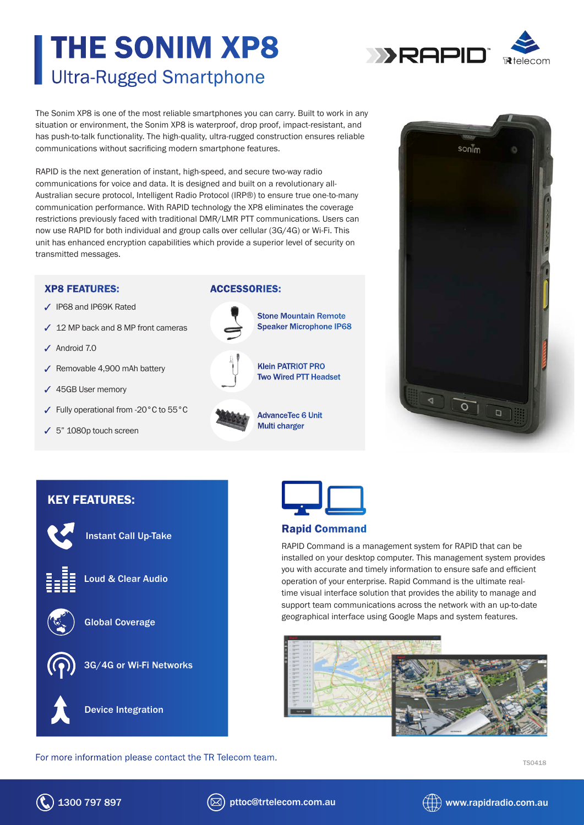# THE SONIM XP8 Ultra-Rugged Smartphone



The Sonim XP8 is one of the most reliable smartphones you can carry. Built to work in any situation or environment, the Sonim XP8 is waterproof, drop proof, impact-resistant, and has push-to-talk functionality. The high-quality, ultra-rugged construction ensures reliable communications without sacrificing modern smartphone features.

RAPID is the next generation of instant, high-speed, and secure two-way radio communications for voice and data. It is designed and built on a revolutionary all-Australian secure protocol, Intelligent Radio Protocol (IRP®) to ensure true one-to-many communication performance. With RAPID technology the XP8 eliminates the coverage restrictions previously faced with traditional DMR/LMR PTT communications. Users can now use RAPID for both individual and group calls over cellular (3G/4G) or Wi-Fi. This unit has enhanced encryption capabilities which provide a superior level of security on transmitted messages.

## XP8 FEATURES:

- IP68 and IP69K Rated
- $\angle$  12 MP back and 8 MP front cameras
- $J$  Android 7.0
- Removable 4,900 mAh battery
- 45GB User memory
- Fully operational from -20°C to 55°C

Instant Call Up-Take

Loud & Clear Audio

Global Coverage

5" 1080p touch screen

KEY FEATURES:

## ACCESSORIES:



Stone Mountain Remote Speaker Microphone IP68



Klein PATRIOT PRO Two Wired PTT Headset

AdvanceTec 6 Unit Multi charger





## Rapid Command

RAPID Command is a management system for RAPID that can be installed on your desktop computer. This management system provides you with accurate and timely information to ensure safe and efficient operation of your enterprise. Rapid Command is the ultimate realtime visual interface solution that provides the ability to manage and support team communications across the network with an up-to-date geographical interface using Google Maps and system features.



For more information please contact the TR Telecom team.<br>
TS0418

Device Integration

3G/4G or Wi-Fi Networks